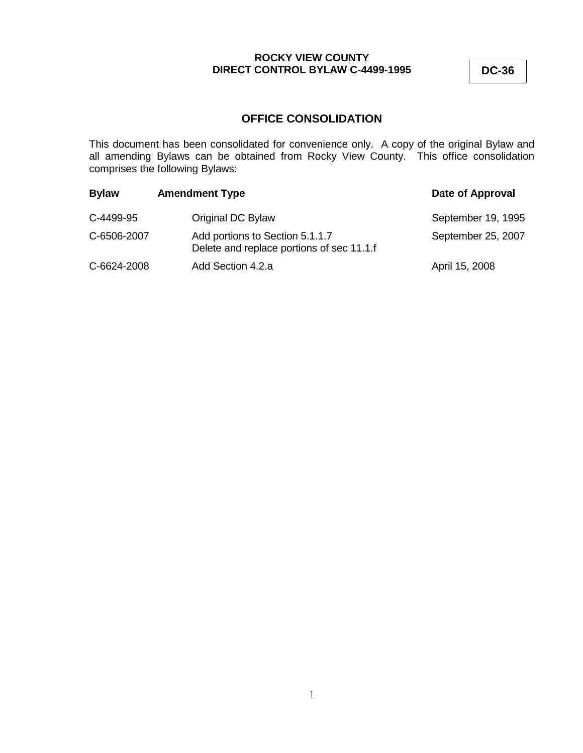**DC-36**

# **OFFICE CONSOLIDATION**

This document has been consolidated for convenience only. A copy of the original Bylaw and all amending Bylaws can be obtained from Rocky View County. This office consolidation comprises the following Bylaws:

| <b>Bylaw</b> | <b>Amendment Type</b>                                                        | Date of Approval   |
|--------------|------------------------------------------------------------------------------|--------------------|
| C-4499-95    | Original DC Bylaw                                                            | September 19, 1995 |
| C-6506-2007  | Add portions to Section 5.1.1.7<br>Delete and replace portions of sec 11.1.f | September 25, 2007 |
| C-6624-2008  | Add Section 4.2.a                                                            | April 15, 2008     |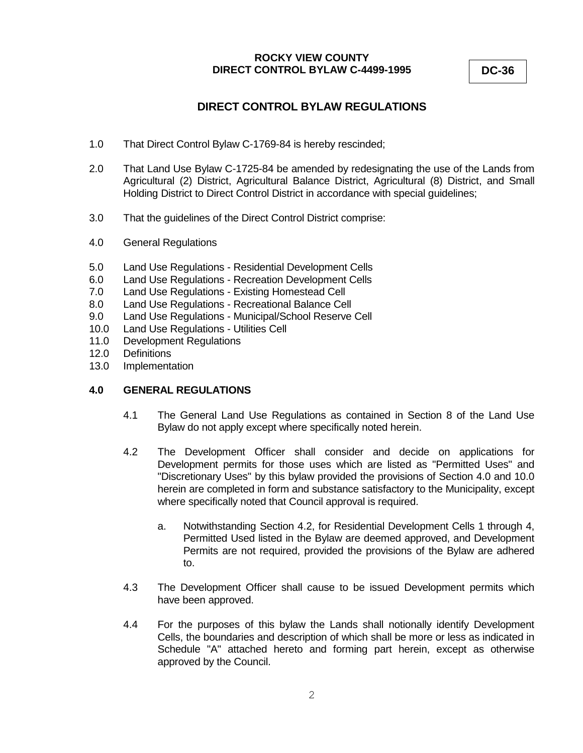**DC-36**

# **DIRECT CONTROL BYLAW REGULATIONS**

- 1.0 That Direct Control Bylaw C-1769-84 is hereby rescinded;
- 2.0 That Land Use Bylaw C-1725-84 be amended by redesignating the use of the Lands from Agricultural (2) District, Agricultural Balance District, Agricultural (8) District, and Small Holding District to Direct Control District in accordance with special guidelines;
- 3.0 That the guidelines of the Direct Control District comprise:
- 4.0 General Regulations
- 5.0 Land Use Regulations Residential Development Cells
- 6.0 Land Use Regulations Recreation Development Cells
- 7.0 Land Use Regulations Existing Homestead Cell
- 8.0 Land Use Regulations Recreational Balance Cell
- 9.0 Land Use Regulations Municipal/School Reserve Cell
- 10.0 Land Use Regulations Utilities Cell
- 11.0 Development Regulations
- 12.0 Definitions
- 13.0 Implementation

### **4.0 GENERAL REGULATIONS**

- 4.1 The General Land Use Regulations as contained in Section 8 of the Land Use Bylaw do not apply except where specifically noted herein.
- 4.2 The Development Officer shall consider and decide on applications for Development permits for those uses which are listed as "Permitted Uses" and "Discretionary Uses" by this bylaw provided the provisions of Section 4.0 and 10.0 herein are completed in form and substance satisfactory to the Municipality, except where specifically noted that Council approval is required.
	- a. Notwithstanding Section 4.2, for Residential Development Cells 1 through 4, Permitted Used listed in the Bylaw are deemed approved, and Development Permits are not required, provided the provisions of the Bylaw are adhered to.
- 4.3 The Development Officer shall cause to be issued Development permits which have been approved.
- 4.4 For the purposes of this bylaw the Lands shall notionally identify Development Cells, the boundaries and description of which shall be more or less as indicated in Schedule "A" attached hereto and forming part herein, except as otherwise approved by the Council.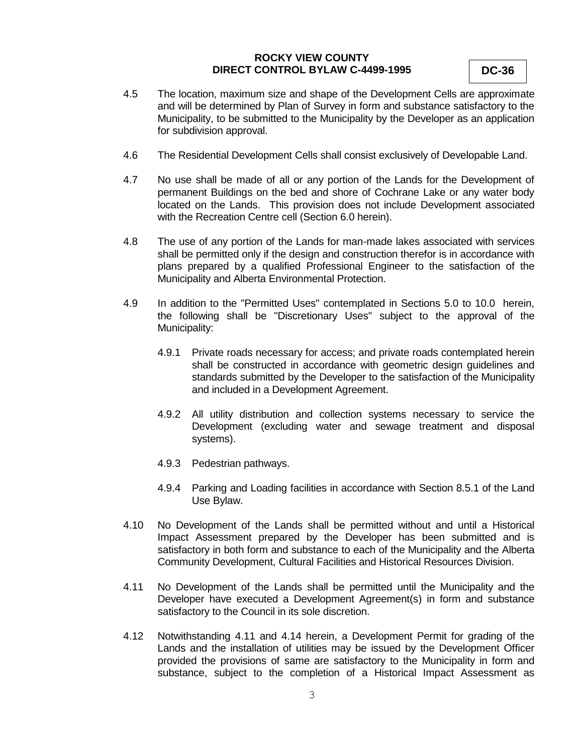- 4.5 The location, maximum size and shape of the Development Cells are approximate and will be determined by Plan of Survey in form and substance satisfactory to the Municipality, to be submitted to the Municipality by the Developer as an application for subdivision approval.
- 4.6 The Residential Development Cells shall consist exclusively of Developable Land.
- 4.7 No use shall be made of all or any portion of the Lands for the Development of permanent Buildings on the bed and shore of Cochrane Lake or any water body located on the Lands. This provision does not include Development associated with the Recreation Centre cell (Section 6.0 herein).
- 4.8 The use of any portion of the Lands for man-made lakes associated with services shall be permitted only if the design and construction therefor is in accordance with plans prepared by a qualified Professional Engineer to the satisfaction of the Municipality and Alberta Environmental Protection.
- 4.9 In addition to the "Permitted Uses" contemplated in Sections 5.0 to 10.0 herein, the following shall be "Discretionary Uses" subject to the approval of the Municipality:
	- 4.9.1 Private roads necessary for access; and private roads contemplated herein shall be constructed in accordance with geometric design guidelines and standards submitted by the Developer to the satisfaction of the Municipality and included in a Development Agreement.
	- 4.9.2 All utility distribution and collection systems necessary to service the Development (excluding water and sewage treatment and disposal systems).
	- 4.9.3 Pedestrian pathways.
	- 4.9.4 Parking and Loading facilities in accordance with Section 8.5.1 of the Land Use Bylaw.
- 4.10 No Development of the Lands shall be permitted without and until a Historical Impact Assessment prepared by the Developer has been submitted and is satisfactory in both form and substance to each of the Municipality and the Alberta Community Development, Cultural Facilities and Historical Resources Division.
- 4.11 No Development of the Lands shall be permitted until the Municipality and the Developer have executed a Development Agreement(s) in form and substance satisfactory to the Council in its sole discretion.
- 4.12 Notwithstanding 4.11 and 4.14 herein, a Development Permit for grading of the Lands and the installation of utilities may be issued by the Development Officer provided the provisions of same are satisfactory to the Municipality in form and substance, subject to the completion of a Historical Impact Assessment as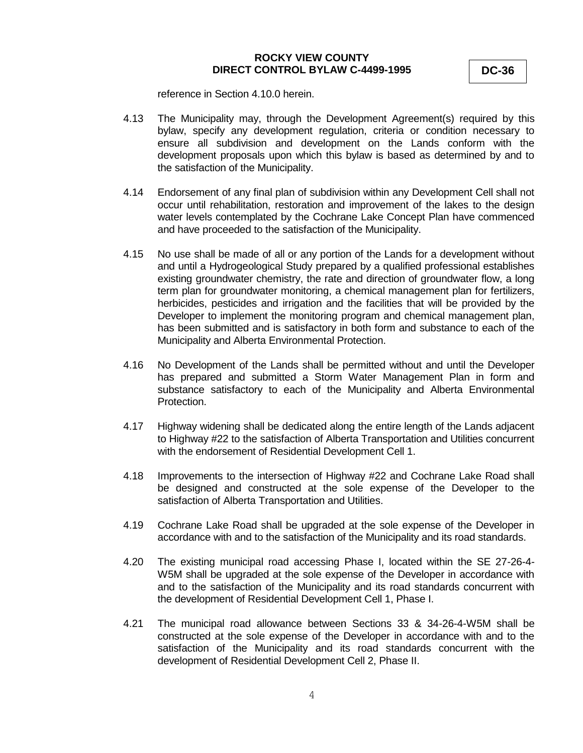**DC-36**

reference in Section 4.10.0 herein.

- 4.13 The Municipality may, through the Development Agreement(s) required by this bylaw, specify any development regulation, criteria or condition necessary to ensure all subdivision and development on the Lands conform with the development proposals upon which this bylaw is based as determined by and to the satisfaction of the Municipality.
- 4.14 Endorsement of any final plan of subdivision within any Development Cell shall not occur until rehabilitation, restoration and improvement of the lakes to the design water levels contemplated by the Cochrane Lake Concept Plan have commenced and have proceeded to the satisfaction of the Municipality.
- 4.15 No use shall be made of all or any portion of the Lands for a development without and until a Hydrogeological Study prepared by a qualified professional establishes existing groundwater chemistry, the rate and direction of groundwater flow, a long term plan for groundwater monitoring, a chemical management plan for fertilizers, herbicides, pesticides and irrigation and the facilities that will be provided by the Developer to implement the monitoring program and chemical management plan, has been submitted and is satisfactory in both form and substance to each of the Municipality and Alberta Environmental Protection.
- 4.16 No Development of the Lands shall be permitted without and until the Developer has prepared and submitted a Storm Water Management Plan in form and substance satisfactory to each of the Municipality and Alberta Environmental Protection.
- 4.17 Highway widening shall be dedicated along the entire length of the Lands adjacent to Highway #22 to the satisfaction of Alberta Transportation and Utilities concurrent with the endorsement of Residential Development Cell 1.
- 4.18 Improvements to the intersection of Highway #22 and Cochrane Lake Road shall be designed and constructed at the sole expense of the Developer to the satisfaction of Alberta Transportation and Utilities.
- 4.19 Cochrane Lake Road shall be upgraded at the sole expense of the Developer in accordance with and to the satisfaction of the Municipality and its road standards.
- 4.20 The existing municipal road accessing Phase I, located within the SE 27-26-4- W5M shall be upgraded at the sole expense of the Developer in accordance with and to the satisfaction of the Municipality and its road standards concurrent with the development of Residential Development Cell 1, Phase I.
- 4.21 The municipal road allowance between Sections 33 & 34-26-4-W5M shall be constructed at the sole expense of the Developer in accordance with and to the satisfaction of the Municipality and its road standards concurrent with the development of Residential Development Cell 2, Phase II.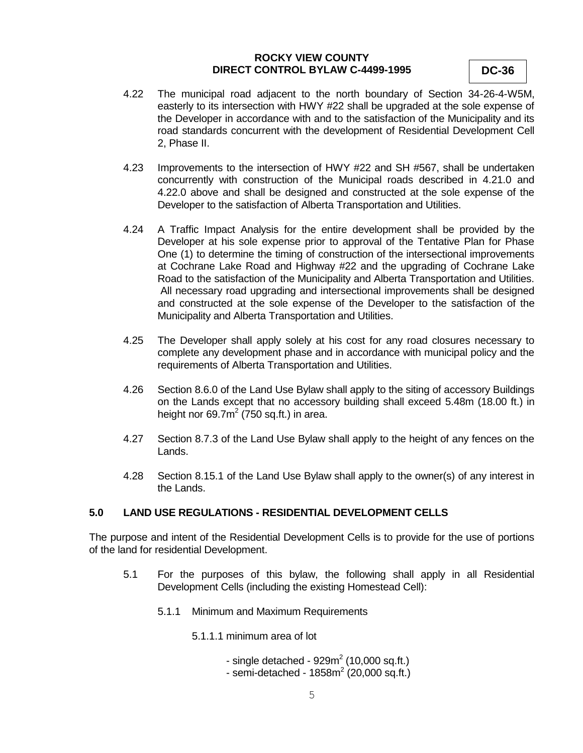**DC-36**

- 4.22 The municipal road adjacent to the north boundary of Section 34-26-4-W5M, easterly to its intersection with HWY #22 shall be upgraded at the sole expense of the Developer in accordance with and to the satisfaction of the Municipality and its road standards concurrent with the development of Residential Development Cell 2, Phase II.
- 4.23 Improvements to the intersection of HWY #22 and SH #567, shall be undertaken concurrently with construction of the Municipal roads described in 4.21.0 and 4.22.0 above and shall be designed and constructed at the sole expense of the Developer to the satisfaction of Alberta Transportation and Utilities.
- 4.24 A Traffic Impact Analysis for the entire development shall be provided by the Developer at his sole expense prior to approval of the Tentative Plan for Phase One (1) to determine the timing of construction of the intersectional improvements at Cochrane Lake Road and Highway #22 and the upgrading of Cochrane Lake Road to the satisfaction of the Municipality and Alberta Transportation and Utilities. All necessary road upgrading and intersectional improvements shall be designed and constructed at the sole expense of the Developer to the satisfaction of the Municipality and Alberta Transportation and Utilities.
- 4.25 The Developer shall apply solely at his cost for any road closures necessary to complete any development phase and in accordance with municipal policy and the requirements of Alberta Transportation and Utilities.
- 4.26 Section 8.6.0 of the Land Use Bylaw shall apply to the siting of accessory Buildings on the Lands except that no accessory building shall exceed 5.48m (18.00 ft.) in height nor 69.7 $m^2$  (750 sq.ft.) in area.
- 4.27 Section 8.7.3 of the Land Use Bylaw shall apply to the height of any fences on the Lands.
- 4.28 Section 8.15.1 of the Land Use Bylaw shall apply to the owner(s) of any interest in the Lands.

# **5.0 LAND USE REGULATIONS - RESIDENTIAL DEVELOPMENT CELLS**

The purpose and intent of the Residential Development Cells is to provide for the use of portions of the land for residential Development.

- 5.1 For the purposes of this bylaw, the following shall apply in all Residential Development Cells (including the existing Homestead Cell):
	- 5.1.1 Minimum and Maximum Requirements

5.1.1.1 minimum area of lot

- single detached  $929m^2$  (10,000 sq.ft.)
- semi-detached 1858 $m^2$  (20,000 sq.ft.)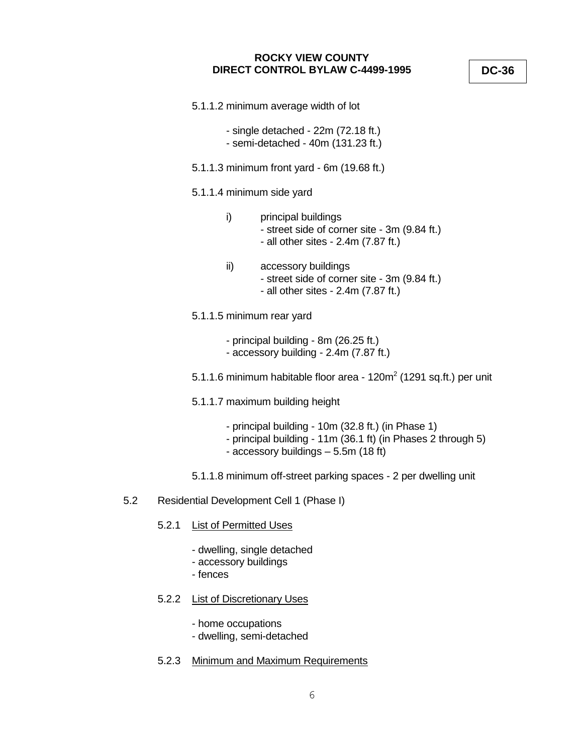- 5.1.1.2 minimum average width of lot
	- single detached 22m (72.18 ft.)
	- semi-detached 40m (131.23 ft.)
- 5.1.1.3 minimum front yard 6m (19.68 ft.)
- 5.1.1.4 minimum side yard
	- i) principal buildings - street side of corner site - 3m (9.84 ft.) - all other sites - 2.4m (7.87 ft.)
	- ii) accessory buildings - street side of corner site - 3m (9.84 ft.) - all other sites - 2.4m (7.87 ft.)
- 5.1.1.5 minimum rear yard
	- principal building 8m (26.25 ft.)
	- accessory building 2.4m (7.87 ft.)
- 5.1.1.6 minimum habitable floor area 120m $^2$  (1291 sq.ft.) per unit
- 5.1.1.7 maximum building height
	- principal building 10m (32.8 ft.) (in Phase 1)
	- principal building 11m (36.1 ft) (in Phases 2 through 5)
	- accessory buildings 5.5m (18 ft)
- 5.1.1.8 minimum off-street parking spaces 2 per dwelling unit
- 5.2 Residential Development Cell 1 (Phase I)
	- 5.2.1 List of Permitted Uses
		- dwelling, single detached
		- accessory buildings
		- fences
	- 5.2.2 List of Discretionary Uses
		- home occupations
		- dwelling, semi-detached
	- 5.2.3 Minimum and Maximum Requirements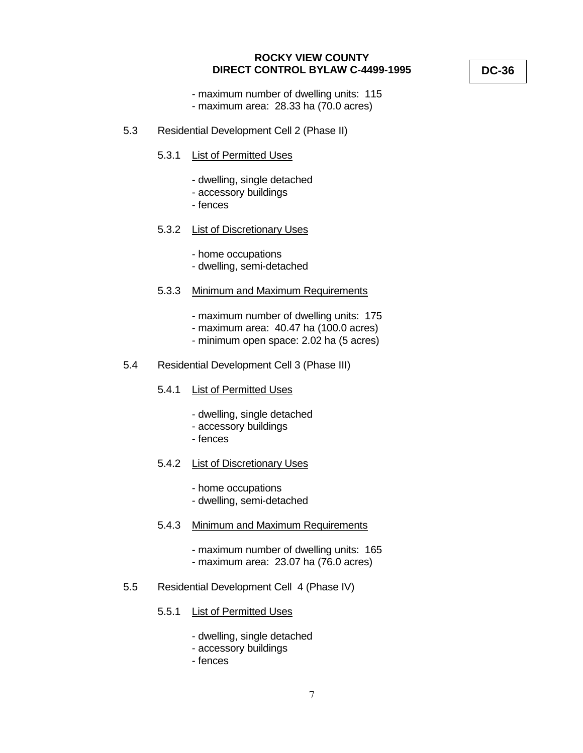- maximum number of dwelling units: 115
- maximum area: 28.33 ha (70.0 acres)
- 5.3 Residential Development Cell 2 (Phase II)
	- 5.3.1 List of Permitted Uses
		- dwelling, single detached
		- accessory buildings
		- fences
	- 5.3.2 List of Discretionary Uses
		- home occupations
		- dwelling, semi-detached
	- 5.3.3 Minimum and Maximum Requirements
		- maximum number of dwelling units: 175
		- maximum area: 40.47 ha (100.0 acres)
		- minimum open space: 2.02 ha (5 acres)
- 5.4 Residential Development Cell 3 (Phase III)
	- 5.4.1 List of Permitted Uses
		- dwelling, single detached
		- accessory buildings
		- fences
	- 5.4.2 List of Discretionary Uses
		- home occupations
		- dwelling, semi-detached
	- 5.4.3 Minimum and Maximum Requirements
		- maximum number of dwelling units: 165
		- maximum area: 23.07 ha (76.0 acres)
- 5.5 Residential Development Cell 4 (Phase IV)
	- 5.5.1 List of Permitted Uses
		- dwelling, single detached
		- accessory buildings
		- fences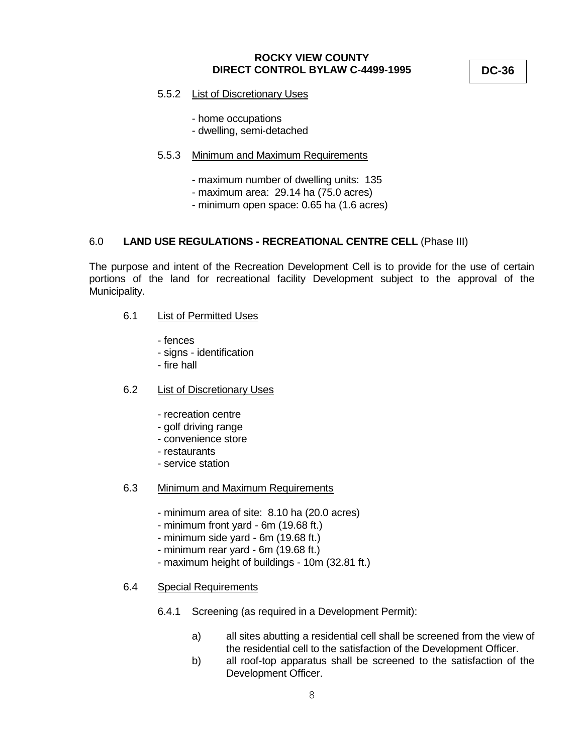**DC-36**

- 5.5.2 List of Discretionary Uses
	- home occupations
	- dwelling, semi-detached

#### 5.5.3 Minimum and Maximum Requirements

- maximum number of dwelling units: 135
- maximum area: 29.14 ha (75.0 acres)
- minimum open space: 0.65 ha (1.6 acres)

### 6.0 **LAND USE REGULATIONS - RECREATIONAL CENTRE CELL** (Phase III)

The purpose and intent of the Recreation Development Cell is to provide for the use of certain portions of the land for recreational facility Development subject to the approval of the Municipality.

### 6.1 List of Permitted Uses

- fences
- signs identification
- fire hall
- 6.2 List of Discretionary Uses
	- recreation centre
	- golf driving range
	- convenience store
	- restaurants
	- service station

#### 6.3 Minimum and Maximum Requirements

- minimum area of site: 8.10 ha (20.0 acres)
- minimum front yard 6m (19.68 ft.)
- minimum side yard 6m (19.68 ft.)
- minimum rear yard 6m (19.68 ft.)
- maximum height of buildings 10m (32.81 ft.)

#### 6.4 Special Requirements

- 6.4.1 Screening (as required in a Development Permit):
	- a) all sites abutting a residential cell shall be screened from the view of the residential cell to the satisfaction of the Development Officer.
	- b) all roof-top apparatus shall be screened to the satisfaction of the Development Officer.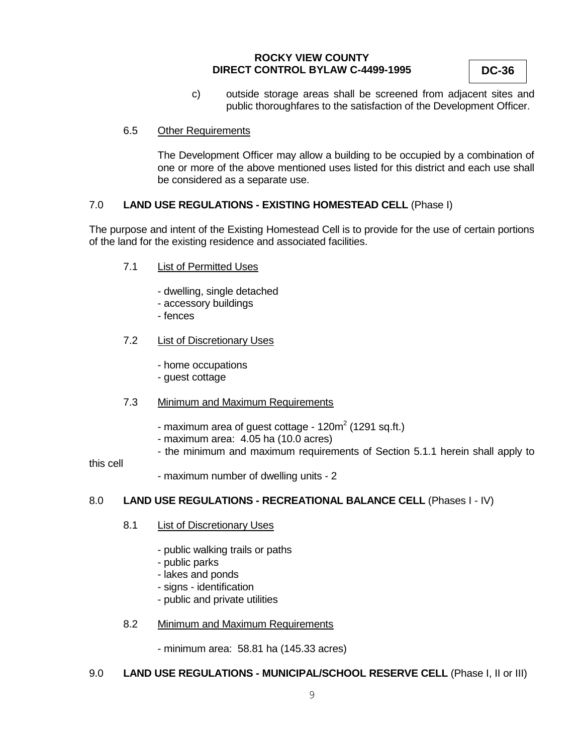**DC-36**

c) outside storage areas shall be screened from adjacent sites and public thoroughfares to the satisfaction of the Development Officer.

### 6.5 Other Requirements

The Development Officer may allow a building to be occupied by a combination of one or more of the above mentioned uses listed for this district and each use shall be considered as a separate use.

### 7.0 **LAND USE REGULATIONS - EXISTING HOMESTEAD CELL** (Phase I)

The purpose and intent of the Existing Homestead Cell is to provide for the use of certain portions of the land for the existing residence and associated facilities.

- 7.1 List of Permitted Uses
	- dwelling, single detached
	- accessory buildings
	- fences

### 7.2 List of Discretionary Uses

- home occupations
- guest cottage

### 7.3 Minimum and Maximum Requirements

- maximum area of guest cottage 120m $^2$  (1291 sq.ft.)
- maximum area: 4.05 ha (10.0 acres)
- the minimum and maximum requirements of Section 5.1.1 herein shall apply to

#### this cell

- maximum number of dwelling units - 2

### 8.0 **LAND USE REGULATIONS - RECREATIONAL BALANCE CELL** (Phases I - IV)

### 8.1 List of Discretionary Uses

- public walking trails or paths
- public parks
- lakes and ponds
- signs identification
- public and private utilities

### 8.2 Minimum and Maximum Requirements

- minimum area: 58.81 ha (145.33 acres)

### 9.0 **LAND USE REGULATIONS - MUNICIPAL/SCHOOL RESERVE CELL** (Phase I, II or III)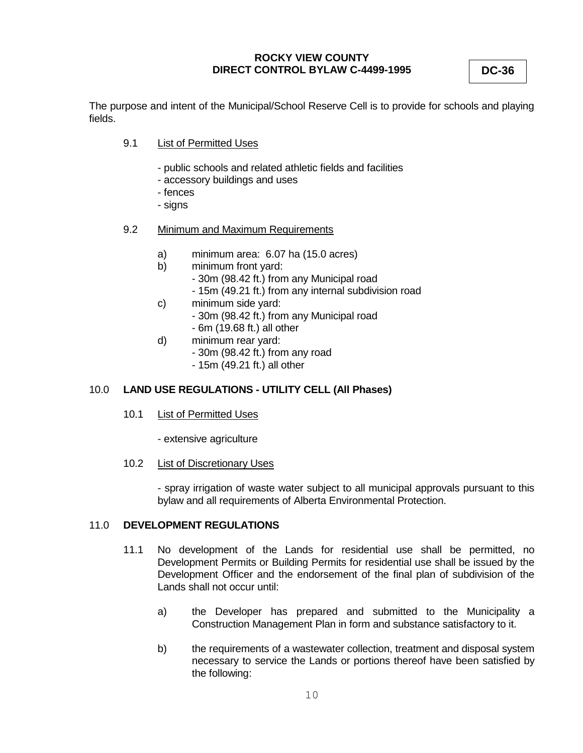**DC-36**

The purpose and intent of the Municipal/School Reserve Cell is to provide for schools and playing fields.

- 9.1 List of Permitted Uses
	- public schools and related athletic fields and facilities
	- accessory buildings and uses
	- fences
	- signs
- 9.2 Minimum and Maximum Requirements
	- a) minimum area: 6.07 ha (15.0 acres)
	- b) minimum front yard:
		- 30m (98.42 ft.) from any Municipal road
		- 15m (49.21 ft.) from any internal subdivision road
	- c) minimum side yard:
		- 30m (98.42 ft.) from any Municipal road
		- 6m (19.68 ft.) all other
	- d) minimum rear yard:
		- 30m (98.42 ft.) from any road
		- 15m (49.21 ft.) all other

# 10.0 **LAND USE REGULATIONS - UTILITY CELL (All Phases)**

- 10.1 List of Permitted Uses
	- extensive agriculture
- 10.2 List of Discretionary Uses

- spray irrigation of waste water subject to all municipal approvals pursuant to this bylaw and all requirements of Alberta Environmental Protection.

### 11.0 **DEVELOPMENT REGULATIONS**

- 11.1 No development of the Lands for residential use shall be permitted, no Development Permits or Building Permits for residential use shall be issued by the Development Officer and the endorsement of the final plan of subdivision of the Lands shall not occur until:
	- a) the Developer has prepared and submitted to the Municipality a Construction Management Plan in form and substance satisfactory to it.
	- b) the requirements of a wastewater collection, treatment and disposal system necessary to service the Lands or portions thereof have been satisfied by the following: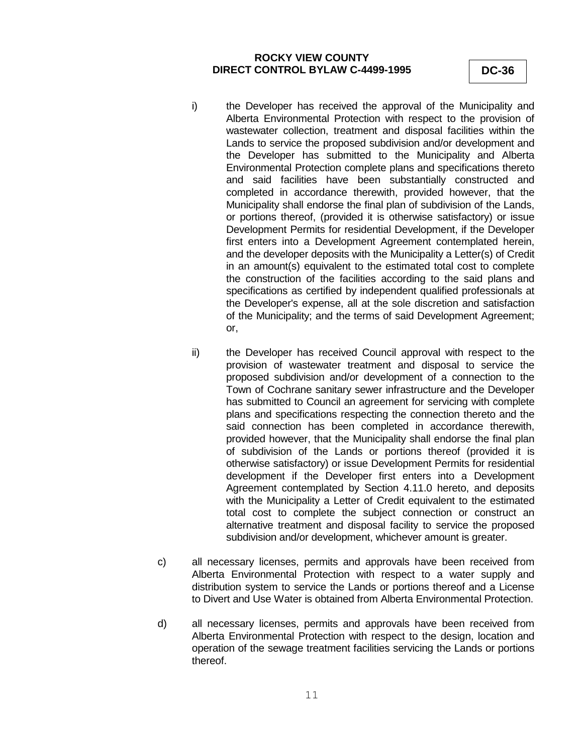- i) the Developer has received the approval of the Municipality and Alberta Environmental Protection with respect to the provision of wastewater collection, treatment and disposal facilities within the Lands to service the proposed subdivision and/or development and the Developer has submitted to the Municipality and Alberta Environmental Protection complete plans and specifications thereto and said facilities have been substantially constructed and completed in accordance therewith, provided however, that the Municipality shall endorse the final plan of subdivision of the Lands, or portions thereof, (provided it is otherwise satisfactory) or issue Development Permits for residential Development, if the Developer first enters into a Development Agreement contemplated herein, and the developer deposits with the Municipality a Letter(s) of Credit in an amount(s) equivalent to the estimated total cost to complete the construction of the facilities according to the said plans and specifications as certified by independent qualified professionals at the Developer's expense, all at the sole discretion and satisfaction of the Municipality; and the terms of said Development Agreement; or,
- ii) the Developer has received Council approval with respect to the provision of wastewater treatment and disposal to service the proposed subdivision and/or development of a connection to the Town of Cochrane sanitary sewer infrastructure and the Developer has submitted to Council an agreement for servicing with complete plans and specifications respecting the connection thereto and the said connection has been completed in accordance therewith, provided however, that the Municipality shall endorse the final plan of subdivision of the Lands or portions thereof (provided it is otherwise satisfactory) or issue Development Permits for residential development if the Developer first enters into a Development Agreement contemplated by Section 4.11.0 hereto, and deposits with the Municipality a Letter of Credit equivalent to the estimated total cost to complete the subject connection or construct an alternative treatment and disposal facility to service the proposed subdivision and/or development, whichever amount is greater.
- c) all necessary licenses, permits and approvals have been received from Alberta Environmental Protection with respect to a water supply and distribution system to service the Lands or portions thereof and a License to Divert and Use Water is obtained from Alberta Environmental Protection.
- d) all necessary licenses, permits and approvals have been received from Alberta Environmental Protection with respect to the design, location and operation of the sewage treatment facilities servicing the Lands or portions thereof.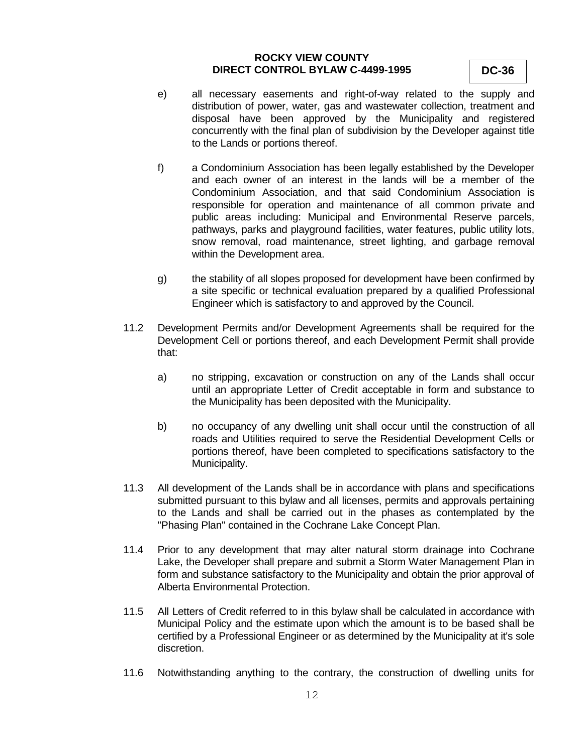- e) all necessary easements and right-of-way related to the supply and distribution of power, water, gas and wastewater collection, treatment and disposal have been approved by the Municipality and registered concurrently with the final plan of subdivision by the Developer against title to the Lands or portions thereof.
- f) a Condominium Association has been legally established by the Developer and each owner of an interest in the lands will be a member of the Condominium Association, and that said Condominium Association is responsible for operation and maintenance of all common private and public areas including: Municipal and Environmental Reserve parcels, pathways, parks and playground facilities, water features, public utility lots, snow removal, road maintenance, street lighting, and garbage removal within the Development area.
- g) the stability of all slopes proposed for development have been confirmed by a site specific or technical evaluation prepared by a qualified Professional Engineer which is satisfactory to and approved by the Council.
- 11.2 Development Permits and/or Development Agreements shall be required for the Development Cell or portions thereof, and each Development Permit shall provide that:
	- a) no stripping, excavation or construction on any of the Lands shall occur until an appropriate Letter of Credit acceptable in form and substance to the Municipality has been deposited with the Municipality.
	- b) no occupancy of any dwelling unit shall occur until the construction of all roads and Utilities required to serve the Residential Development Cells or portions thereof, have been completed to specifications satisfactory to the Municipality.
- 11.3 All development of the Lands shall be in accordance with plans and specifications submitted pursuant to this bylaw and all licenses, permits and approvals pertaining to the Lands and shall be carried out in the phases as contemplated by the "Phasing Plan" contained in the Cochrane Lake Concept Plan.
- 11.4 Prior to any development that may alter natural storm drainage into Cochrane Lake, the Developer shall prepare and submit a Storm Water Management Plan in form and substance satisfactory to the Municipality and obtain the prior approval of Alberta Environmental Protection.
- 11.5 All Letters of Credit referred to in this bylaw shall be calculated in accordance with Municipal Policy and the estimate upon which the amount is to be based shall be certified by a Professional Engineer or as determined by the Municipality at it's sole discretion.
- 11.6 Notwithstanding anything to the contrary, the construction of dwelling units for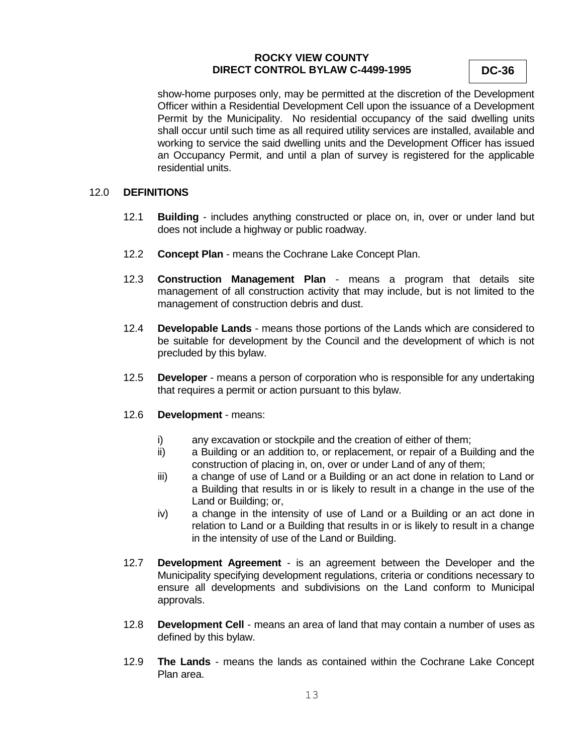**DC-36**

show-home purposes only, may be permitted at the discretion of the Development Officer within a Residential Development Cell upon the issuance of a Development Permit by the Municipality. No residential occupancy of the said dwelling units shall occur until such time as all required utility services are installed, available and working to service the said dwelling units and the Development Officer has issued an Occupancy Permit, and until a plan of survey is registered for the applicable residential units.

#### 12.0 **DEFINITIONS**

- 12.1 **Building** includes anything constructed or place on, in, over or under land but does not include a highway or public roadway.
- 12.2 **Concept Plan** means the Cochrane Lake Concept Plan.
- 12.3 **Construction Management Plan** means a program that details site management of all construction activity that may include, but is not limited to the management of construction debris and dust.
- 12.4 **Developable Lands** means those portions of the Lands which are considered to be suitable for development by the Council and the development of which is not precluded by this bylaw.
- 12.5 **Developer** means a person of corporation who is responsible for any undertaking that requires a permit or action pursuant to this bylaw.
- 12.6 **Development** means:
	- i) any excavation or stockpile and the creation of either of them;
	- ii) a Building or an addition to, or replacement, or repair of a Building and the construction of placing in, on, over or under Land of any of them;
	- iii) a change of use of Land or a Building or an act done in relation to Land or a Building that results in or is likely to result in a change in the use of the Land or Building; or,
	- iv) a change in the intensity of use of Land or a Building or an act done in relation to Land or a Building that results in or is likely to result in a change in the intensity of use of the Land or Building.
- 12.7 **Development Agreement** is an agreement between the Developer and the Municipality specifying development regulations, criteria or conditions necessary to ensure all developments and subdivisions on the Land conform to Municipal approvals.
- 12.8 **Development Cell** means an area of land that may contain a number of uses as defined by this bylaw.
- 12.9 **The Lands** means the lands as contained within the Cochrane Lake Concept Plan area.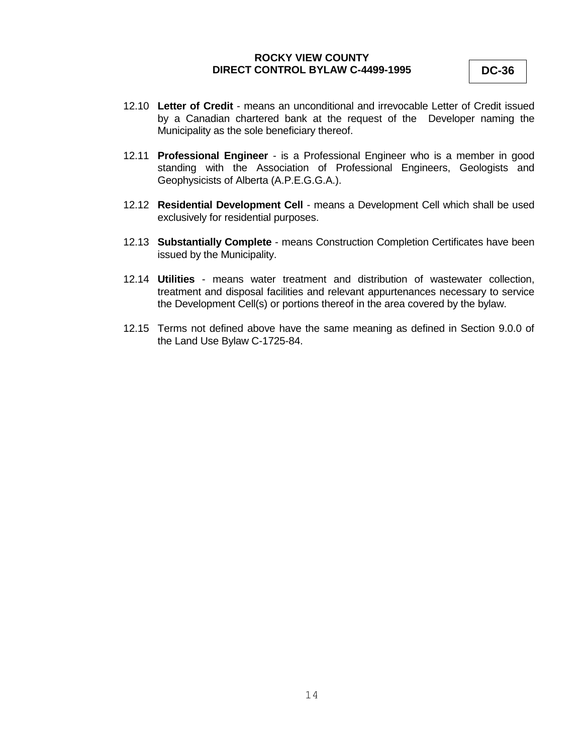- 12.10 **Letter of Credit** means an unconditional and irrevocable Letter of Credit issued by a Canadian chartered bank at the request of the Developer naming the Municipality as the sole beneficiary thereof.
- 12.11 **Professional Engineer** is a Professional Engineer who is a member in good standing with the Association of Professional Engineers, Geologists and Geophysicists of Alberta (A.P.E.G.G.A.).
- 12.12 **Residential Development Cell** means a Development Cell which shall be used exclusively for residential purposes.
- 12.13 **Substantially Complete** means Construction Completion Certificates have been issued by the Municipality.
- 12.14 **Utilities** means water treatment and distribution of wastewater collection, treatment and disposal facilities and relevant appurtenances necessary to service the Development Cell(s) or portions thereof in the area covered by the bylaw.
- 12.15 Terms not defined above have the same meaning as defined in Section 9.0.0 of the Land Use Bylaw C-1725-84.